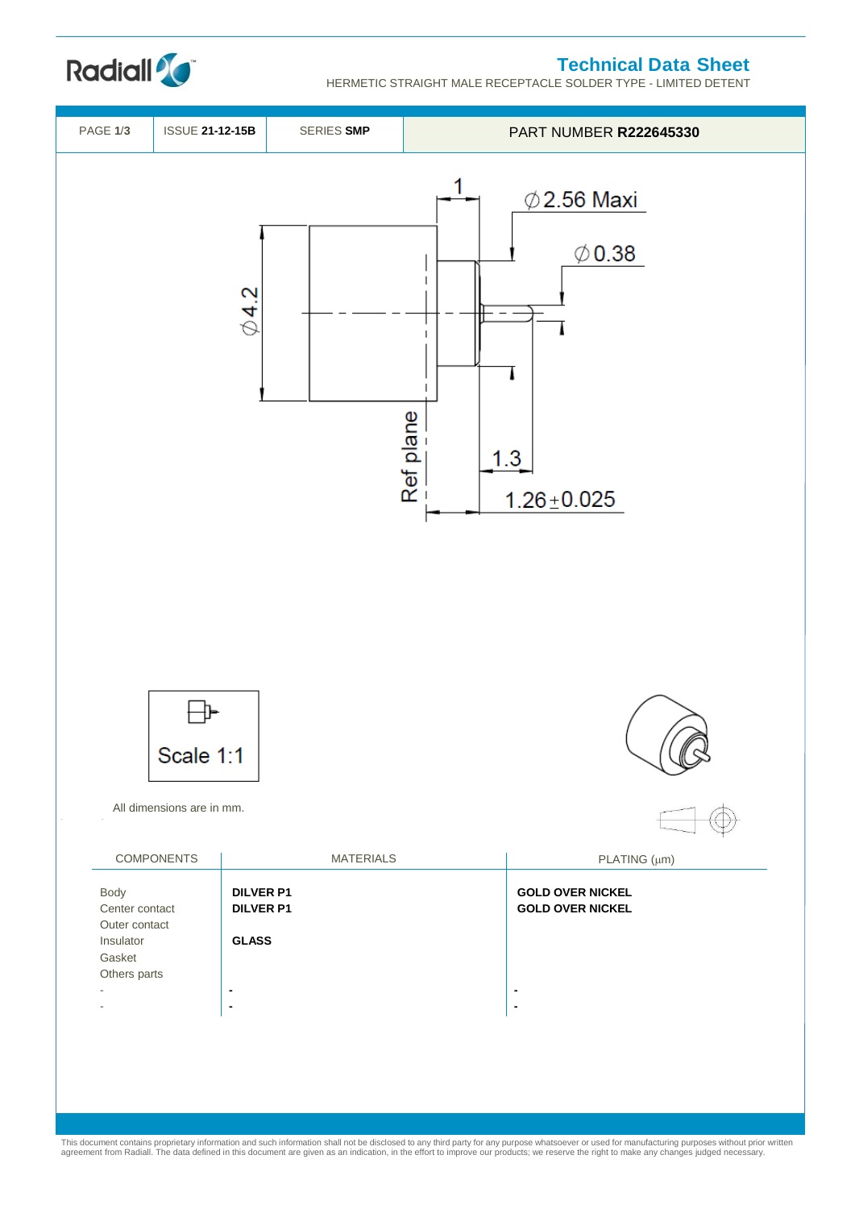## **Technical Data Sheet**

HERMETIC STRAIGHT MALE RECEPTACLE SOLDER TYPE - LIMITED DETENT





This document contains proprietary information and such information shall not be disclosed to any third party for any purpose whatsoever or used for manufacturing purposes without prior written<br>agreement from Radiall. The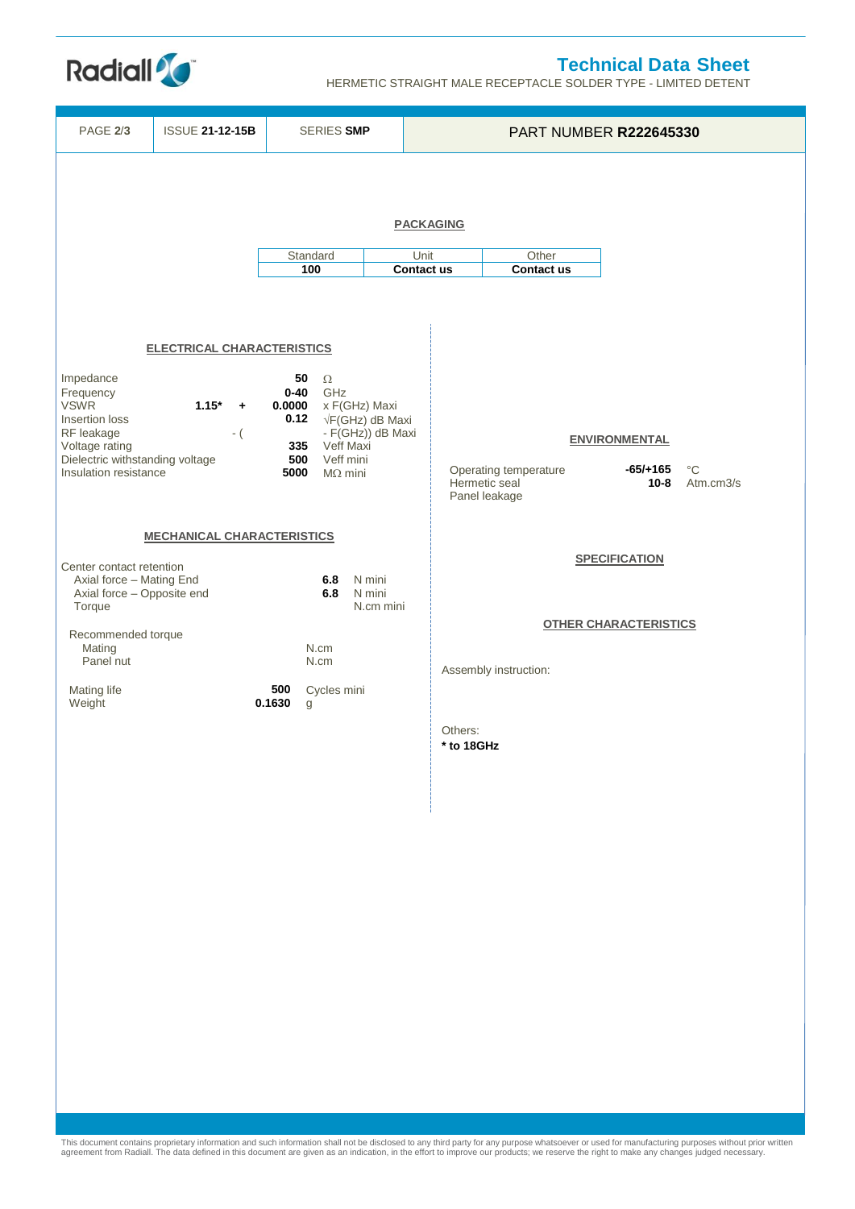

HERMETIC STRAIGHT MALE RECEPTACLE SOLDER TYPE - LIMITED DETENT

**Radiall<sup>2</sup>C** 



This document contains proprietary information and such information shall not be disclosed to any third party for any purpose whatsoever or used for manufacturing purposes without prior written<br>agreement from Radiall. The